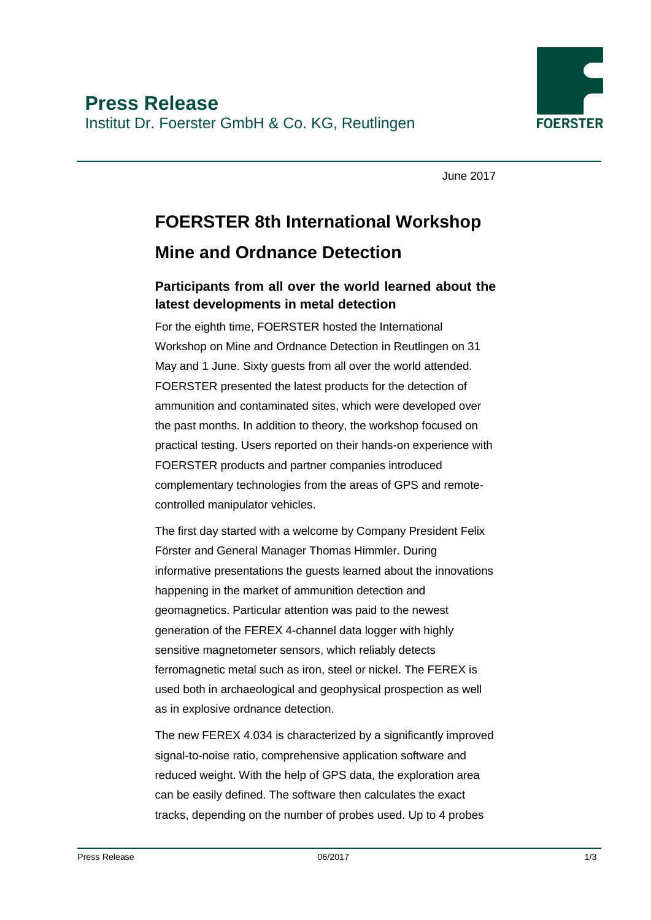

June 2017

## **FOERSTER 8th International Workshop Mine and Ordnance Detection**

## **Participants from all over the world learned about the latest developments in metal detection**

For the eighth time, FOERSTER hosted the International Workshop on Mine and Ordnance Detection in Reutlingen on 31 May and 1 June. Sixty guests from all over the world attended. FOERSTER presented the latest products for the detection of ammunition and contaminated sites, which were developed over the past months. In addition to theory, the workshop focused on practical testing. Users reported on their hands-on experience with FOERSTER products and partner companies introduced complementary technologies from the areas of GPS and remotecontrolled manipulator vehicles.

The first day started with a welcome by Company President Felix Förster and General Manager Thomas Himmler. During informative presentations the guests learned about the innovations happening in the market of ammunition detection and geomagnetics. Particular attention was paid to the newest generation of the FEREX 4-channel data logger with highly sensitive magnetometer sensors, which reliably detects ferromagnetic metal such as iron, steel or nickel. The FEREX is used both in archaeological and geophysical prospection as well as in explosive ordnance detection.

The new FEREX 4.034 is characterized by a significantly improved signal-to-noise ratio, comprehensive application software and reduced weight. With the help of GPS data, the exploration area can be easily defined. The software then calculates the exact tracks, depending on the number of probes used. Up to 4 probes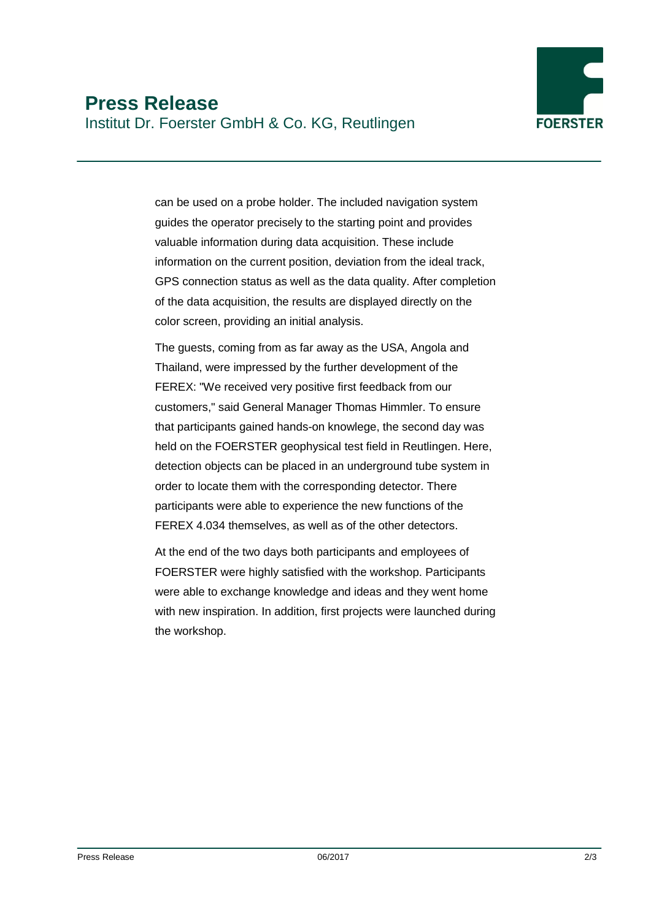

can be used on a probe holder. The included navigation system guides the operator precisely to the starting point and provides valuable information during data acquisition. These include information on the current position, deviation from the ideal track, GPS connection status as well as the data quality. After completion of the data acquisition, the results are displayed directly on the color screen, providing an initial analysis.

The guests, coming from as far away as the USA, Angola and Thailand, were impressed by the further development of the FEREX: "We received very positive first feedback from our customers," said General Manager Thomas Himmler. To ensure that participants gained hands-on knowlege, the second day was held on the FOERSTER geophysical test field in Reutlingen. Here, detection objects can be placed in an underground tube system in order to locate them with the corresponding detector. There participants were able to experience the new functions of the FEREX 4.034 themselves, as well as of the other detectors.

At the end of the two days both participants and employees of FOERSTER were highly satisfied with the workshop. Participants were able to exchange knowledge and ideas and they went home with new inspiration. In addition, first projects were launched during the workshop.